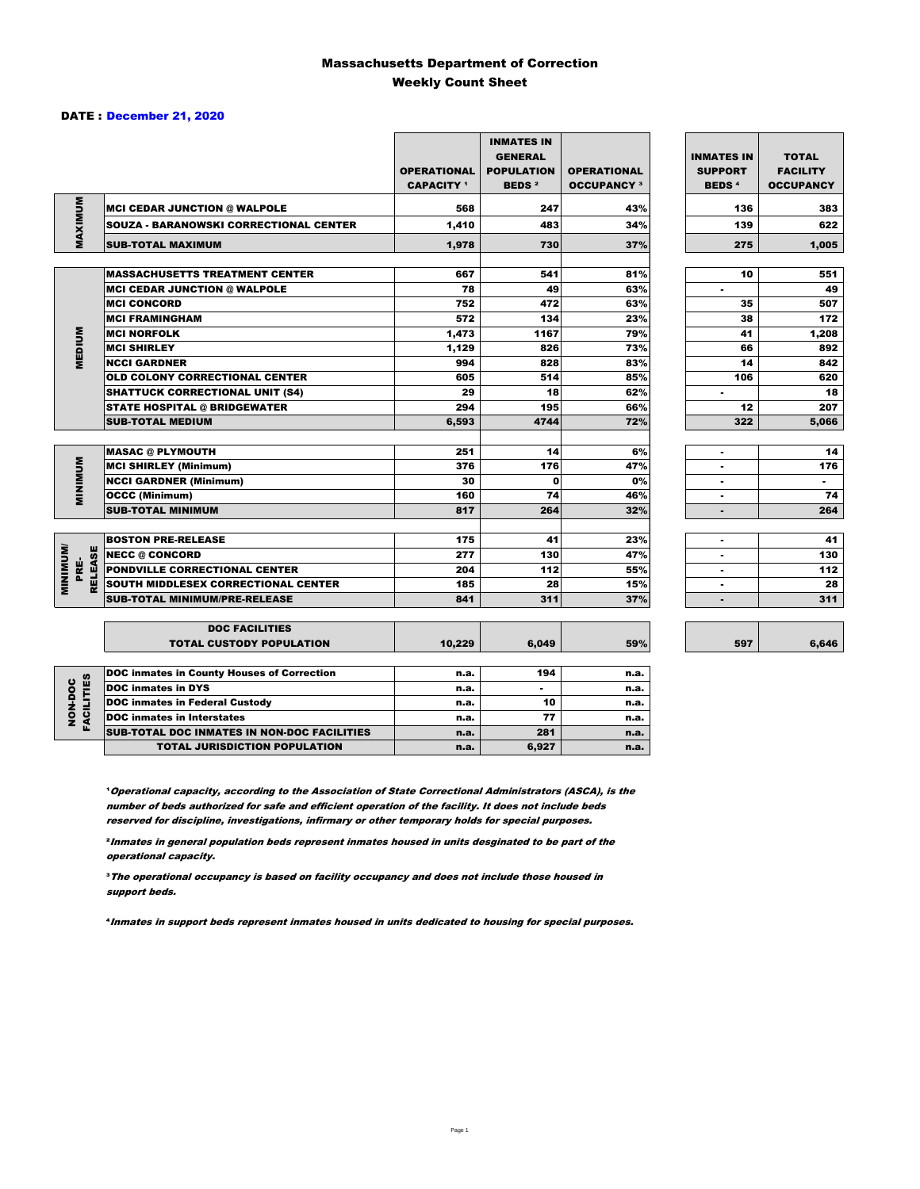#### Massachusetts Department of Correction Weekly Count Sheet

#### DATE : December 21, 2020

|                                           |                                                   | <b>OPERATIONAL</b><br><b>CAPACITY</b> 1 | <b>INMATES IN</b><br><b>GENERAL</b><br><b>POPULATION</b><br><b>BEDS<sup>2</sup></b> | <b>OPERATIONAL</b><br><b>OCCUPANCY 3</b> | <b>INMATES IN</b><br><b>SUPPORT</b><br><b>BEDS<sup>4</sup></b> | <b>TOTAL</b><br><b>FACILITY</b><br><b>OCCUPANCY</b> |
|-------------------------------------------|---------------------------------------------------|-----------------------------------------|-------------------------------------------------------------------------------------|------------------------------------------|----------------------------------------------------------------|-----------------------------------------------------|
|                                           | <b>MCI CEDAR JUNCTION @ WALPOLE</b>               | 568                                     | 247                                                                                 | 43%                                      | 136                                                            | 383                                                 |
|                                           | <b>SOUZA - BARANOWSKI CORRECTIONAL CENTER</b>     | 1,410                                   | 483                                                                                 | 34%                                      | 139                                                            | 622                                                 |
| MAXIMUM                                   | <b>SUB-TOTAL MAXIMUM</b>                          | 1,978                                   | 730                                                                                 | 37%                                      | 275                                                            | 1.005                                               |
|                                           |                                                   |                                         |                                                                                     |                                          |                                                                |                                                     |
|                                           | <b>MASSACHUSETTS TREATMENT CENTER</b>             | 667                                     | 541                                                                                 | 81%                                      | 10                                                             | 551                                                 |
|                                           | <b>MCI CEDAR JUNCTION @ WALPOLE</b>               | 78                                      | 49                                                                                  | 63%                                      | ٠                                                              | 49                                                  |
|                                           | <b>MCI CONCORD</b>                                | 752                                     | 472                                                                                 | 63%                                      | 35                                                             | 507                                                 |
|                                           | <b>MCI FRAMINGHAM</b>                             | 572                                     | 134                                                                                 | 23%                                      | 38                                                             | 172                                                 |
|                                           | <b>MCI NORFOLK</b>                                | 1,473                                   | 1167                                                                                | 79%                                      | 41                                                             | 1,208                                               |
| <b>MEDIUM</b>                             | <b>MCI SHIRLEY</b>                                | 1,129                                   | 826                                                                                 | 73%                                      | 66                                                             | 892                                                 |
|                                           | <b>NCCI GARDNER</b>                               | 994                                     | 828                                                                                 | 83%                                      | 14                                                             | 842                                                 |
|                                           | <b>OLD COLONY CORRECTIONAL CENTER</b>             | 605                                     | 514                                                                                 | 85%                                      | 106                                                            | 620                                                 |
|                                           | <b>SHATTUCK CORRECTIONAL UNIT (S4)</b>            | 29                                      | 18                                                                                  | 62%                                      | ۰                                                              | 18                                                  |
|                                           | <b>STATE HOSPITAL @ BRIDGEWATER</b>               | 294                                     | 195                                                                                 | 66%                                      | 12                                                             | 207                                                 |
|                                           | <b>SUB-TOTAL MEDIUM</b>                           | 6,593                                   | 4744                                                                                | 72%                                      | 322                                                            | 5,066                                               |
|                                           | <b>MASAC @ PLYMOUTH</b>                           | 251                                     | 14                                                                                  | 6%                                       | ٠                                                              | 14                                                  |
|                                           | <b>MCI SHIRLEY (Minimum)</b>                      | 376                                     | 176                                                                                 | 47%                                      |                                                                | 176                                                 |
| <b>MINIMUM</b>                            | <b>NCCI GARDNER (Minimum)</b>                     | 30                                      | $\mathbf{0}$                                                                        | 0%                                       | ٠                                                              | $\blacksquare$                                      |
|                                           | <b>OCCC (Minimum)</b>                             | 160                                     | 74                                                                                  | 46%                                      | $\blacksquare$                                                 | 74                                                  |
|                                           | <b>SUB-TOTAL MINIMUM</b>                          | 817                                     | 264                                                                                 | 32%                                      | $\blacksquare$                                                 | 264                                                 |
|                                           |                                                   |                                         |                                                                                     |                                          |                                                                |                                                     |
|                                           | <b>BOSTON PRE-RELEASE</b>                         | 175                                     | 41                                                                                  | 23%                                      | ۰                                                              | 41                                                  |
|                                           | <b>INECC @ CONCORD</b>                            | 277                                     | 130                                                                                 | 47%                                      | ۰                                                              | 130                                                 |
| <b>MINIMINI</b><br><b>RELEASE</b><br>PRE- | PONDVILLE CORRECTIONAL CENTER                     | 204                                     | 112                                                                                 | 55%                                      | ×.                                                             | 112                                                 |
|                                           | SOUTH MIDDLESEX CORRECTIONAL CENTER               | 185                                     | 28                                                                                  | 15%                                      | ٠                                                              | 28                                                  |
|                                           | <b>SUB-TOTAL MINIMUM/PRE-RELEASE</b>              | 841                                     | 311                                                                                 | 37%                                      | ٠                                                              | 311                                                 |
|                                           | <b>DOC FACILITIES</b>                             |                                         |                                                                                     |                                          |                                                                |                                                     |
|                                           | <b>TOTAL CUSTODY POPULATION</b>                   | 10.229                                  | 6.049                                                                               | 59%                                      | 597                                                            | 6,646                                               |
|                                           | <b>DOC inmates in County Houses of Correction</b> | n.a.                                    | 194                                                                                 | n.a.                                     |                                                                |                                                     |
| <b>FACILITIES</b>                         | <b>DOC</b> inmates in DYS                         | n.a.                                    | ٠                                                                                   | n.a.                                     |                                                                |                                                     |
|                                           | <b>DOC inmates in Federal Custody</b>             | n.a.                                    | 10                                                                                  | n.a.                                     |                                                                |                                                     |
| NON-DOC                                   | <b>DOC</b> inmates in Interstates                 | n.a.                                    | 77                                                                                  | n.a.                                     |                                                                |                                                     |
|                                           | CUR TOTAL BOO INIMETED IN NON-BOO FACU ITIED      |                                         | $\sim$                                                                              |                                          |                                                                |                                                     |

**Operational capacity, according to the Association of State Correctional Administrators (ASCA), is the** number of beds authorized for safe and efficient operation of the facility. It does not include beds reserved for discipline, investigations, infirmary or other temporary holds for special purposes.

SUB-TOTAL DOC INMATES IN NON-DOC FACILITIES n.a. 281 n.a.

TOTAL JURISDICTION POPULATION **n.a.** 6,927 n.a.

²Inmates in general population beds represent inmates housed in units desginated to be part of the operational capacity.

³The operational occupancy is based on facility occupancy and does not include those housed in support beds.

⁴Inmates in support beds represent inmates housed in units dedicated to housing for special purposes.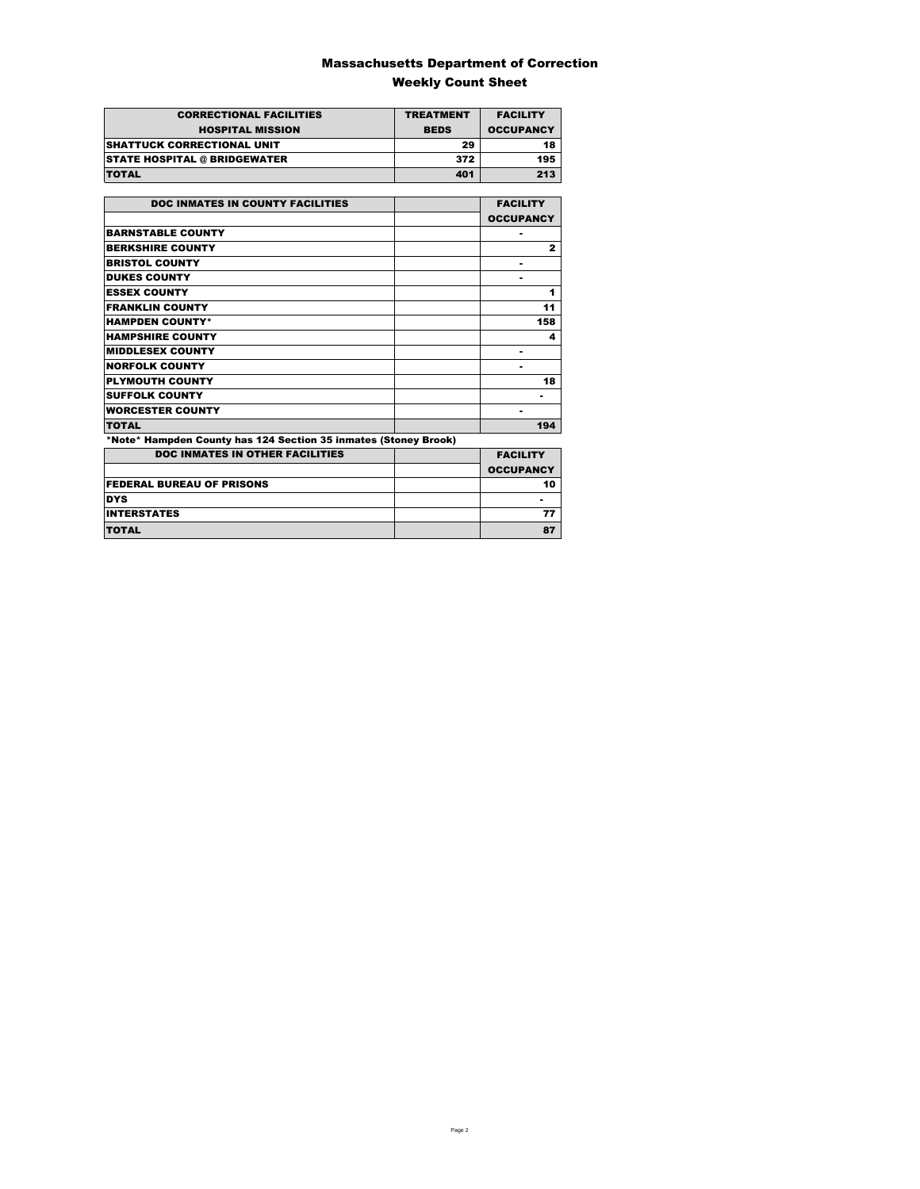### Massachusetts Department of Correction Weekly Count Sheet

| <b>CORRECTIONAL FACILITIES</b>      | <b>TREATMENT</b> | <b>FACILITY</b>  |
|-------------------------------------|------------------|------------------|
| <b>HOSPITAL MISSION</b>             | <b>BEDS</b>      | <b>OCCUPANCY</b> |
| <b>SHATTUCK CORRECTIONAL UNIT</b>   | 29               | 18               |
| <b>STATE HOSPITAL @ BRIDGEWATER</b> | 372              | 195              |
| <b>TOTAL</b>                        | 401              | 213              |

| <b>DOC INMATES IN COUNTY FACILITIES</b>                         | <b>FACILITY</b>  |
|-----------------------------------------------------------------|------------------|
|                                                                 | <b>OCCUPANCY</b> |
| <b>BARNSTABLE COUNTY</b>                                        |                  |
| <b>BERKSHIRE COUNTY</b>                                         | $\mathbf{z}$     |
| <b>BRISTOL COUNTY</b>                                           | ۰                |
| <b>DUKES COUNTY</b>                                             |                  |
| <b>ESSEX COUNTY</b>                                             | 1                |
| <b>FRANKLIN COUNTY</b>                                          | 11               |
| <b>HAMPDEN COUNTY*</b>                                          | 158              |
| <b>HAMPSHIRE COUNTY</b>                                         | 4                |
| <b>MIDDLESEX COUNTY</b>                                         | ۰                |
| <b>NORFOLK COUNTY</b>                                           | ۰                |
| <b>PLYMOUTH COUNTY</b>                                          | 18               |
| <b>SUFFOLK COUNTY</b>                                           |                  |
| <b>WORCESTER COUNTY</b>                                         |                  |
| <b>TOTAL</b>                                                    | 194              |
| *Note* Hampden County has 124 Section 35 inmates (Stoney Brook) |                  |
| <b>DOC INMATES IN OTHER FACILITIES</b>                          | <b>FACILITY</b>  |
|                                                                 | <b>OCCUPANCY</b> |
| <b>FEDERAL BUREAU OF PRISONS</b>                                | 10               |
| <b>DYS</b>                                                      |                  |
| <b>INTERSTATES</b>                                              | 77               |

TOTAL 87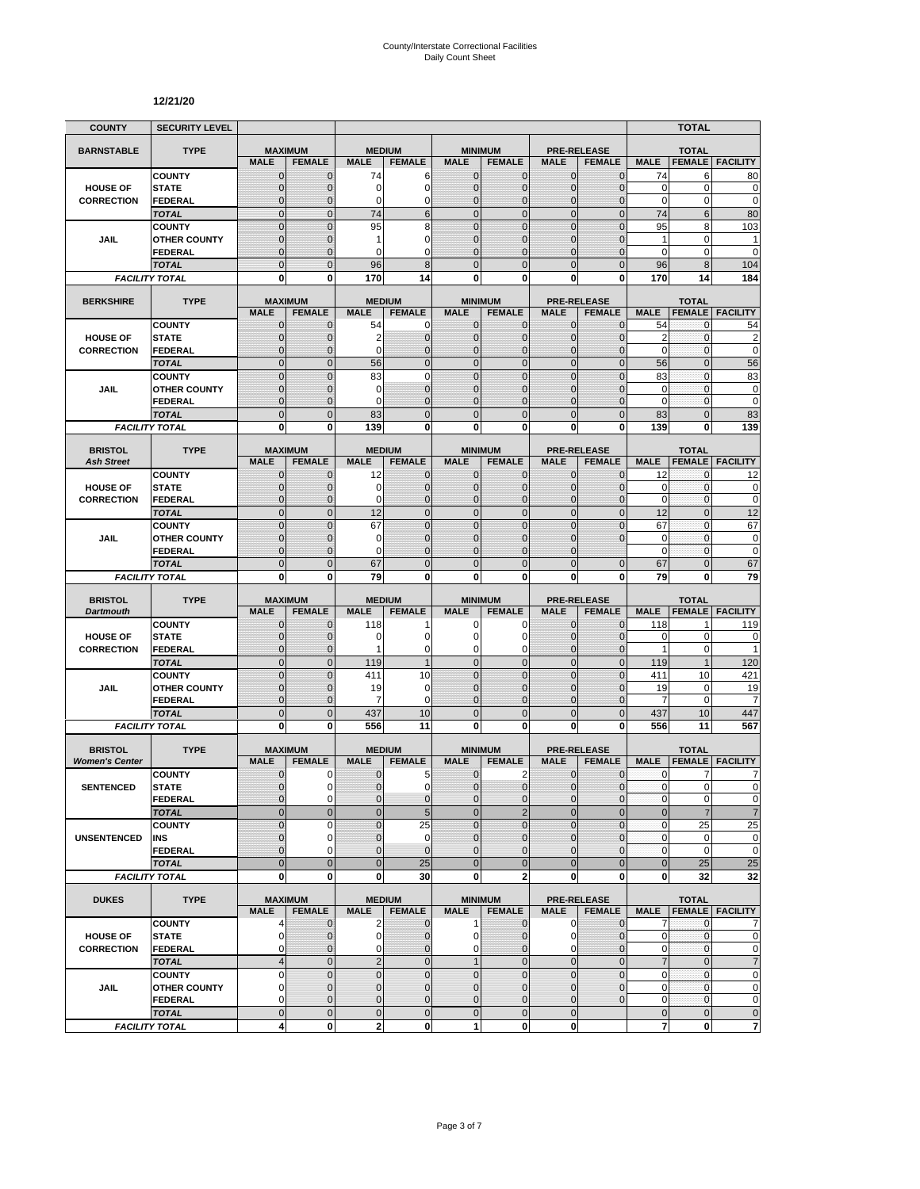#### **12/21/20**

| <b>COUNTY</b>         | <b>SECURITY LEVEL</b>                 |                               |                              |                             |                                |                              |                                 |                              |                                     |                           | <b>TOTAL</b>                  |                             |
|-----------------------|---------------------------------------|-------------------------------|------------------------------|-----------------------------|--------------------------------|------------------------------|---------------------------------|------------------------------|-------------------------------------|---------------------------|-------------------------------|-----------------------------|
| <b>BARNSTABLE</b>     | <b>TYPE</b>                           | <b>MAXIMUM</b>                |                              | <b>MEDIUM</b>               |                                |                              | <b>MINIMUM</b>                  |                              | <b>PRE-RELEASE</b>                  |                           | <b>TOTAL</b>                  |                             |
|                       |                                       | <b>MALE</b>                   | <b>FEMALE</b>                | <b>MALE</b>                 | <b>FEMALE</b>                  | <b>MALE</b>                  | <b>FEMALE</b>                   | <b>MALE</b>                  | <b>FEMALE</b>                       | <b>MALE</b>               | <b>FEMALE</b>                 | <b>FACILITY</b>             |
|                       | <b>COUNTY</b>                         | $\mathbf 0$                   | $\mathbf{0}$                 | 74                          | 6                              | $\mathbf{0}$                 | 0                               | $\mathbf{0}$                 | $\mathbf 0$                         | 74                        | 6                             | 80                          |
| <b>HOUSE OF</b>       | <b>STATE</b>                          | $\mathbf 0$                   | $\mathbf{0}$                 | 0                           | 0                              | $\mathbf{0}$                 | 0                               | $\mathbf{0}$                 | $\overline{0}$                      | 0                         | 0                             | $\mathbf 0$                 |
| <b>CORRECTION</b>     | <b>FEDERAL</b>                        | $\Omega$<br>$\overline{0}$    | $\mathbf 0$<br>$\mathbf{0}$  | 0<br>74                     | $\mathbf 0$<br>$6\phantom{1}6$ | 0<br>$\mathbf{0}$            | $\overline{0}$<br>$\mathbf 0$   | $\Omega$<br>$\overline{0}$   | 0<br>$\overline{0}$                 | $\mathbf 0$<br>74         | 0<br>$6\phantom{1}$           | $\mathbf 0$<br>80           |
|                       | <b>TOTAL</b><br><b>COUNTY</b>         | $\mathbf 0$                   | $\mathbf 0$                  | 95                          | 8                              | $\mathbf{0}$                 | $\mathbf 0$                     | $\mathbf 0$                  | $\mathbf 0$                         | 95                        | 8                             | 103                         |
| JAIL                  | <b>OTHER COUNTY</b>                   | $\overline{0}$                | $\mathbf 0$                  | 1                           | $\mathbf 0$                    | $\Omega$                     | $\overline{0}$                  | $\Omega$                     | $\overline{0}$                      | $\mathbf{1}$              | 0                             | 1                           |
|                       | FEDERAL                               | $\mathbf 0$                   | $\mathbf{0}$                 | 0                           | $\mathbf 0$                    | $\mathbf{0}$                 | 0                               | $\mathbf{0}$                 | 0                                   | 0                         | $\mathbf 0$                   | $\mathbf 0$                 |
|                       | <b>TOTAL</b>                          | $\overline{0}$                | $\mathbf{0}$                 | 96                          | 8                              | $\Omega$                     | $\overline{0}$                  | $\Omega$                     | $\mathbf 0$                         | 96                        | 8                             | 104                         |
|                       | <b>FACILITY TOTAL</b>                 | $\bf{0}$                      | $\bf{0}$                     | 170                         | 14                             | 0                            | 0                               | $\bf{0}$                     | $\mathbf 0$                         | 170                       | 14                            | 184                         |
|                       |                                       |                               |                              |                             | <b>MEDIUM</b>                  |                              |                                 |                              |                                     |                           |                               |                             |
| <b>BERKSHIRE</b>      | <b>TYPE</b>                           | <b>MAXIMUM</b><br><b>MALE</b> | <b>FEMALE</b>                | <b>MALE</b>                 | <b>FEMALE</b>                  | <b>MALE</b>                  | <b>MINIMUM</b><br><b>FEMALE</b> | <b>MALE</b>                  | <b>PRE-RELEASE</b><br><b>FEMALE</b> | <b>MALE</b>               | <b>TOTAL</b><br><b>FEMALE</b> | <b>FACILITY</b>             |
|                       | <b>COUNTY</b>                         | $\mathbf{0}$                  | $\mathbf 0$                  | 54                          | 0                              | $\mathbf{0}$                 | 0                               | $\mathbf 0$                  | $\mathbf{0}$                        | 54                        | 0                             | 54                          |
| <b>HOUSE OF</b>       | <b>STATE</b>                          | $\mathbf 0$                   | $\mathbf 0$                  | 2                           | $\pmb{0}$                      | $\mathbf{0}$                 | $\mathbf 0$                     | $\mathbf{0}$                 | $\mathbf 0$                         | $\overline{2}$            | $\mathbf{0}$                  | $\overline{\mathbf{c}}$     |
| <b>CORRECTION</b>     | <b>FEDERAL</b>                        | $\mathbf{0}$                  | $\mathbf 0$                  | $\Omega$                    | $\mathbf 0$                    | $\mathbf{0}$                 | $\overline{0}$                  | $\mathbf{0}$                 | $\overline{0}$                      | $\mathbf 0$               | $\mathbf{0}$                  | $\mathbf 0$                 |
|                       | <b>TOTAL</b>                          | $\overline{0}$                | $\Omega$                     | 56                          | $\overline{0}$                 | $\mathbf 0$                  | $\mathbf 0$                     | $\mathbf{0}$                 | $\overline{0}$                      | 56                        | $\overline{0}$                | 56                          |
|                       | <b>COUNTY</b>                         | $\overline{0}$                | $\mathbf 0$                  | 83                          | $\mathbf 0$                    | $\mathbf 0$                  | $\overline{0}$                  | $\Omega$                     | $\overline{0}$                      | 83                        | $\mathbf 0$                   | 83                          |
| JAIL                  | <b>OTHER COUNTY</b><br><b>FEDERAL</b> | $\mathbf 0$<br>$\overline{0}$ | $\mathbf 0$<br>$\mathbf 0$   | 0<br>$\Omega$               | $\mathbf 0$<br>$\overline{0}$  | $\mathbf{0}$<br>$\mathbf{0}$ | 0<br>$\overline{0}$             | $\Omega$<br>$\Omega$         | $\mathbf{0}$<br>$\overline{0}$      | 0<br>$\mathbf 0$          | $\mathbf 0$<br>$\mathbf{0}$   | 0<br>$\mathbf 0$            |
|                       | <b>TOTAL</b>                          | $\mathbf 0$                   | $\overline{0}$               | 83                          | $\mathbf 0$                    | $\mathbf 0$                  | $\mathbf 0$                     | $\mathbf{0}$                 | $\mathbf 0$                         | 83                        | $\mathbf{0}$                  | 83                          |
|                       | <b>FACILITY TOTAL</b>                 | $\mathbf 0$                   | 0                            | 139                         | $\mathbf 0$                    | $\mathbf{0}$                 | $\mathbf{0}$                    | $\mathbf 0$                  | $\mathbf{0}$                        | 139                       | 0                             | 139                         |
|                       |                                       |                               |                              |                             |                                |                              |                                 |                              |                                     |                           |                               |                             |
| <b>BRISTOL</b>        | <b>TYPE</b>                           | <b>MAXIMUM</b>                |                              | <b>MEDIUM</b>               |                                |                              | <b>MINIMUM</b>                  |                              | <b>PRE-RELEASE</b>                  |                           | <b>TOTAL</b>                  |                             |
| <b>Ash Street</b>     |                                       | <b>MALE</b>                   | <b>FEMALE</b><br>$\mathbf 0$ | <b>MALE</b><br>12           | <b>FEMALE</b>                  | <b>MALE</b><br>$\mathbf{0}$  | <b>FEMALE</b><br>$\mathbf{0}$   | <b>MALE</b>                  | <b>FEMALE</b><br>$\overline{0}$     | <b>MALE</b><br>12         | <b>FEMALE</b><br>0            | <b>FACILITY</b>             |
| <b>HOUSE OF</b>       | <b>COUNTY</b><br><b>STATE</b>         | $\mathbf 0$<br>$\mathbf 0$    | $\mathbf 0$                  | 0                           | $\mathbf{0}$<br>$\mathbf 0$    | $\Omega$                     | 0                               | $\mathbf 0$<br>$\Omega$      | $\overline{0}$                      | $\mathbf 0$               | 0                             | 12<br>$\bf{0}$              |
| <b>CORRECTION</b>     | <b>FEDERAL</b>                        | $\overline{0}$                | $\mathbf{0}$                 | 0                           | $\mathbf{0}$                   | $\mathbf{0}$                 | $\mathbf 0$                     | $\mathbf{0}$                 | $\mathbf 0$                         | $\mathbf 0$               | $\mathbf{0}$                  | $\mathbf 0$                 |
|                       | <b>TOTAL</b>                          | $\overline{0}$                | $\mathbf{0}$                 | 12                          | $\mathbf 0$                    | $\overline{0}$               | $\mathbf 0$                     | $\mathbf{0}$                 | $\mathbf 0$                         | 12                        | $\overline{0}$                | 12                          |
|                       | <b>COUNTY</b>                         | $\Omega$                      | $\Omega$                     | 67                          | $\Omega$                       | $\Omega$                     | $\overline{0}$                  | $\Omega$                     | $\overline{0}$                      | 67                        | $\overline{0}$                | 67                          |
| JAIL                  | <b>OTHER COUNTY</b>                   | $\overline{0}$                | $\mathbf 0$                  | 0                           | $\overline{0}$                 | $\mathbf{0}$                 | $\overline{0}$                  | $\mathbf 0$                  | $\Omega$                            | $\mathbf 0$               | $\mathbf 0$                   | $\mathbf 0$                 |
|                       | <b>FEDERAL</b>                        | $\overline{0}$                | $\mathbf 0$                  | 0                           | $\mathbf 0$                    | $\mathbf{0}$                 | 0                               | $\Omega$                     |                                     | $\mathbf 0$               | 0                             | $\mathbf 0$                 |
|                       | <b>TOTAL</b>                          | $\overline{0}$                | $\Omega$                     | 67                          | $\mathbf 0$                    | $\Omega$                     | $\overline{0}$                  | $\Omega$                     | $\overline{0}$                      | 67                        | $\overline{0}$                | 67                          |
|                       | <b>FACILITY TOTAL</b>                 | 0                             | 0                            | 79                          | 0                              | $\mathbf{0}$                 | 0                               | 0                            | 0                                   | 79                        | 0                             | 79                          |
| <b>BRISTOL</b>        | <b>TYPE</b>                           | <b>MAXIMUM</b>                |                              |                             | <b>MEDIUM</b>                  |                              | <b>MINIMUM</b>                  |                              | <b>PRE-RELEASE</b>                  |                           | <b>TOTAL</b>                  |                             |
| <b>Dartmouth</b>      |                                       | <b>MALE</b>                   | <b>FEMALE</b>                | <b>MALE</b>                 | <b>FEMALE</b>                  | <b>MALE</b>                  | <b>FEMALE</b>                   | <b>MALE</b>                  | <b>FEMALE</b>                       | <b>MALE</b>               | <b>FEMALE</b>                 | <b>FACILITY</b>             |
|                       | <b>COUNTY</b>                         | $\mathbf 0$                   | $\mathbf 0$                  | 118                         | 1                              | 0                            | 0                               | $\mathbf 0$                  | $\overline{0}$                      | 118                       |                               | 119                         |
| <b>HOUSE OF</b>       | <b>STATE</b>                          | $\mathbf 0$<br>$\overline{0}$ | $\Omega$<br>$\mathbf{0}$     | 0<br>1                      | $\mathbf 0$<br>$\mathbf 0$     | $\Omega$<br>$\mathbf 0$      | 0<br>0                          | $\Omega$<br>$\mathbf{0}$     | $\mathbf{0}$<br>$\overline{0}$      | 0<br>1                    | $\mathbf 0$<br>0              | $\mathbf 0$<br>1            |
| <b>CORRECTION</b>     | <b>FEDERAL</b><br><b>TOTAL</b>        | $\overline{0}$                | $\mathbf{0}$                 | 119                         | $\mathbf{1}$                   | $\overline{0}$               | $\overline{0}$                  | $\mathbf{0}$                 | $\overline{0}$                      | 119                       | $\mathbf{1}$                  | 120                         |
|                       | <b>COUNTY</b>                         | $\mathbf 0$                   | $\overline{0}$               | 411                         | 10                             | $\mathbf{0}$                 | $\mathbf 0$                     | $\mathbf{0}$                 | $\mathbf 0$                         | 411                       | 10                            | 421                         |
| <b>JAIL</b>           | <b>OTHER COUNTY</b>                   | $\overline{0}$                | $\Omega$                     | 19                          | $\mathbf 0$                    | $\Omega$                     | $\overline{0}$                  | $\Omega$                     | $\Omega$                            | 19                        | 0                             | 19                          |
|                       | <b>FEDERAL</b>                        | $\mathbf 0$                   | $\mathbf 0$                  | $\overline{7}$              | $\mathbf 0$                    | $\mathbf 0$                  | $\mathbf 0$                     | $\mathbf{0}$                 | $\overline{0}$                      | $\overline{7}$            | $\mathbf 0$                   | $\overline{7}$              |
|                       | <b>TOTAL</b>                          | $\mathbf 0$                   | $\mathbf{0}$                 | 437                         | 10                             | $\mathbf 0$                  | $\mathbf 0$                     | $\mathbf{0}$                 | $\mathbf 0$                         | 437                       | 10                            | 447                         |
|                       | <b>FACILITY TOTAL</b>                 | 0                             | $\bf{0}$                     | 556                         | 11                             | $\mathbf{0}$                 | 0                               | 0                            | 0                                   | 556                       | 11                            | 567                         |
| <b>BRISTOL</b>        | <b>TYPE</b>                           | <b>MAXIMUM</b>                |                              | <b>MEDIUM</b>               |                                |                              | <b>MINIMUM</b>                  |                              | <b>PRE-RELEASE</b>                  |                           | <b>TOTAL</b>                  |                             |
| <b>Women's Center</b> |                                       | <b>MALE</b>                   | <b>FEMALE</b>                | <b>MALE</b>                 | <b>FEMALE</b>                  | <b>MALE</b>                  | <b>FEMALE</b>                   | <b>MALE</b>                  | <b>FEMALE</b>                       | <b>MALE</b>               | <b>FEMALE</b>                 | <b>FACILITY</b>             |
|                       | <b>COUNTY</b>                         | $\mathbf 0$                   | 0                            | 0                           | 5                              | $\mathbf{0}$                 | $\overline{2}$                  | $\mathbf{0}$                 | $\mathbf{0}$                        | $\mathbf{0}$              | 7                             | 7                           |
| <b>SENTENCED</b>      | <b>STATE</b>                          | $\Omega$                      | 0                            | $\Omega$                    | $\Omega$                       | $\Omega$                     | $\Omega$                        | $\Omega$                     | $\Omega$                            | $\mathbf{0}$              | $\overline{0}$                | $\Omega$                    |
|                       | <b>FEDERAL</b>                        | $\mathbf 0$                   | $\pmb{0}$                    | $\pmb{0}$                   | $\pmb{0}$                      | $\mathbf 0$                  | $\mathbf 0$                     | $\mathbf 0$                  | $\mathbf 0$                         | $\pmb{0}$                 | $\mathbf 0$                   | $\pmb{0}$                   |
|                       | <b>TOTAL</b>                          | $\mathbf 0$                   | $\mathbf 0$                  | $\mathbf 0$                 | 5                              | $\mathbf 0$                  | $\overline{2}$                  | $\mathbf{0}$                 | $\mathbf 0$                         | $\bf 0$                   | $\overline{7}$                | $\overline{7}$              |
|                       | <b>COUNTY</b>                         | $\mathbf 0$                   | $\mathbf 0$                  | 0                           | 25                             | $\mathbf{0}$                 | $\mathbf 0$                     | $\mathbf{0}$                 | $\mathbf 0$                         | $\pmb{0}$                 | 25                            | 25                          |
| UNSENTENCED           | INS<br><b>FEDERAL</b>                 | $\mathbf 0$<br>$\overline{0}$ | $\mathbf 0$<br>$\Omega$      | $\pmb{0}$<br>$\overline{0}$ | $\mathbf 0$<br>$\mathbf 0$     | $\mathbf{0}$<br>$\mathbf{0}$ | $\mathbf{0}$<br>$\overline{0}$  | $\mathbf{0}$<br>$\mathbf{0}$ | $\mathbf{0}$<br>$\mathbf 0$         | $\mathbf{0}$<br>$\pmb{0}$ | 0<br>$\mathbf 0$              | $\pmb{0}$<br>$\pmb{0}$      |
|                       | <b>TOTAL</b>                          | $\overline{0}$                | $\overline{0}$               | $\mathbf{0}$                | 25                             | $\overline{0}$               | $\mathbf{0}$                    | $\mathbf{0}$                 | $\mathbf 0$                         | $\bf 0$                   | 25                            | 25                          |
|                       | <b>FACILITY TOTAL</b>                 | $\mathbf 0$                   | $\mathbf{0}$                 | 0                           | 30                             | 0                            | $\overline{2}$                  | $\mathbf{0}$                 | $\mathbf{0}$                        | 0                         | 32                            | 32                          |
|                       |                                       |                               |                              |                             |                                |                              |                                 |                              |                                     |                           |                               |                             |
| <b>DUKES</b>          | <b>TYPE</b>                           | <b>MAXIMUM</b>                |                              |                             | <b>MEDIUM</b>                  |                              | <b>MINIMUM</b>                  |                              | <b>PRE-RELEASE</b>                  |                           | <b>TOTAL</b>                  |                             |
|                       | <b>COUNTY</b>                         | <b>MALE</b><br>4              | <b>FEMALE</b><br>$\mathbf 0$ | <b>MALE</b><br>2            | <b>FEMALE</b><br>$\mathbf{0}$  | <b>MALE</b><br>1             | <b>FEMALE</b><br>$\mathbf{0}$   | <b>MALE</b><br>$\mathbf 0$   | <b>FEMALE</b><br>$\mathbf 0$        | <b>MALE</b><br>7          | 0                             | <b>FEMALE FACILITY</b><br>7 |
| <b>HOUSE OF</b>       | <b>STATE</b>                          | 0                             | $\mathbf{0}$                 | 0                           | $\pmb{0}$                      | 0                            | 0                               | 0                            | $\pmb{0}$                           | 0                         | $\mathbf 0$                   | $\mathbf 0$                 |
| <b>CORRECTION</b>     | <b>FEDERAL</b>                        | $\mathbf 0$                   | $\mathbf{0}$                 | 0                           | $\mathbf{0}$                   | $\mathbf 0$                  | $\mathbf 0$                     | 0                            | $\overline{0}$                      | $\pmb{0}$                 | 0                             | 0                           |
|                       | <b>TOTAL</b>                          | $\overline{4}$                | $\mathbf{0}$                 | $\overline{2}$              | $\mathbf 0$                    | $\mathbf{1}$                 | $\mathbf 0$                     | $\mathbf{0}$                 | $\overline{0}$                      | $\overline{7}$            | $\mathbf 0$                   | $\overline{7}$              |
|                       | <b>COUNTY</b>                         | 0                             | $\mathbf{0}$                 | $\mathbf 0$                 | $\mathbf 0$                    | $\mathbf 0$                  | $\mathbf 0$                     | $\mathbf{0}$                 | $\mathbf 0$                         | $\pmb{0}$                 | $\mathbf{0}$                  | $\mathbf 0$                 |
| <b>JAIL</b>           | <b>OTHER COUNTY</b>                   | $\mathbf 0$                   | $\Omega$                     | $\mathbf 0$                 | $\mathbf{0}$                   | $\Omega$                     | $\mathbf 0$                     | $\Omega$                     | $\mathbf{0}$                        | $\mathbf 0$               | $\mathbf 0$                   | $\pmb{0}$                   |
|                       | <b>FEDERAL</b>                        | 0                             | $\mathbf{0}$                 | $\mathbf 0$                 | $\pmb{0}$                      | $\mathbf{0}$                 | $\mathbf 0$                     | $\mathbf{0}$                 | $\mathbf{0}$                        | $\mathbf 0$               | $\mathbf 0$                   | $\mathbf 0$                 |
|                       | <b>TOTAL</b>                          | $\mathbf 0$                   | $\mathbf{0}$                 | $\mathsf 0$                 | $\mathbf 0$                    | $\mathbf{0}$                 | $\mathbf 0$                     | $\mathbf{0}$                 |                                     | $\mathbf 0$               | $\mathbf 0$                   | $\pmb{0}$                   |
|                       | <b>FACILITY TOTAL</b>                 | 4                             | 0                            | 2                           | $\mathbf 0$                    | $\mathbf{1}$                 | 0                               | $\mathbf{0}$                 |                                     | 7                         | $\mathbf 0$                   | 7                           |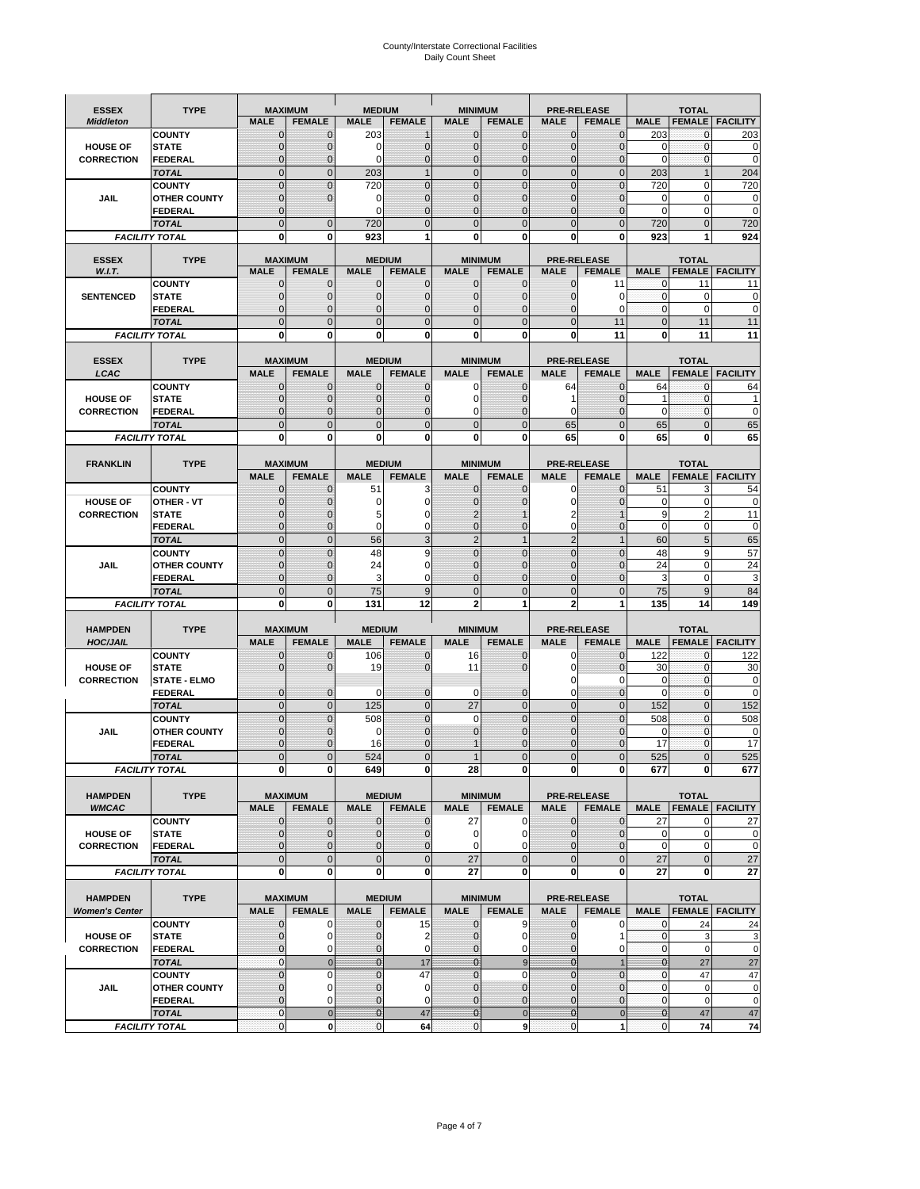# County/Interstate Correctional Facilities Daily Count Sheet

| <b>ESSEX</b>                         | <b>TYPE</b>                           |                               | <b>MAXIMUM</b>                  | <b>MEDIUM</b>            |                                | <b>MINIMUM</b>               |                                 |                                | <b>PRE-RELEASE</b>                  |                            | <b>TOTAL</b>                  |                        |
|--------------------------------------|---------------------------------------|-------------------------------|---------------------------------|--------------------------|--------------------------------|------------------------------|---------------------------------|--------------------------------|-------------------------------------|----------------------------|-------------------------------|------------------------|
| <b>Middleton</b>                     |                                       | <b>MALE</b>                   | <b>FEMALE</b>                   | <b>MALE</b>              | <b>FEMALE</b>                  | <b>MALE</b>                  | <b>FEMALE</b>                   | <b>MALE</b>                    | <b>FEMALE</b>                       | <b>MALE</b>                |                               | <b>FEMALE FACILITY</b> |
|                                      | <b>COUNTY</b>                         | 0                             | $\mathbf 0$                     | 203                      | 1                              | $\mathbf{0}$                 | $\mathbf{0}$                    | $\mathbf{0}$                   | $\Omega$                            | 203                        | 0                             | 203                    |
| <b>HOUSE OF</b>                      | <b>STATE</b>                          | 0                             | $\mathbf 0$                     | $\Omega$                 | 0                              | $\mathbf 0$                  | $\mathbf{0}$                    | $\mathbf{0}$                   | $\Omega$                            | $\Omega$                   | $\mathbf{0}$                  | 0                      |
| <b>CORRECTION</b>                    | <b>FEDERAL</b>                        | $\Omega$<br>$\mathbf 0$       | $\mathbf 0$<br>$\overline{0}$   | $\Omega$                 | $\overline{0}$<br>$\mathbf{1}$ | $\mathbf{0}$<br>$\mathbf{0}$ | $\mathbf{0}$<br>$\mathbf{0}$    | $\mathbf{0}$<br>$\mathbf 0$    | $\Omega$<br>$\overline{0}$          | $\Omega$                   | $\mathbf{0}$<br>$\mathbf{1}$  | $\mathbf 0$<br>204     |
|                                      | <b>TOTAL</b><br><b>COUNTY</b>         | $\mathbf 0$                   | $\mathbf{0}$                    | 203<br>720               | 0                              | $\mathbf{0}$                 | $\mathbf 0$                     | $\mathbf{0}$                   | $\overline{0}$                      | 203<br>720                 | 0                             | 720                    |
| JAIL                                 | <b>OTHER COUNTY</b>                   | $\mathbf{0}$                  | $\mathbf 0$                     | 0                        | 0                              | $\mathbf{0}$                 | $\Omega$                        | $\mathbf{0}$                   | ſ                                   | $\Omega$                   | $\Omega$                      | 0                      |
|                                      | <b>FEDERAL</b>                        | $\mathbf{0}$                  |                                 | 0                        | $\Omega$                       | $\mathbf 0$                  | $\mathbf 0$                     | $\mathbf{0}$                   | $\mathbf 0$                         | $\mathbf 0$                | 0                             | $\mathbf 0$            |
|                                      | <b>TOTAL</b>                          | $\Omega$                      | $\mathbf 0$                     | 720                      | $\Omega$                       | $\mathbf{0}$                 | $\Omega$                        | $\overline{0}$                 | $\Omega$                            | 720                        | $\Omega$                      | 720                    |
|                                      | <b>FACILITY TOTAL</b>                 | 0                             | 0                               | 923                      | 1                              | $\bf{0}$                     | 0                               | 0                              | 0                                   | 923                        |                               | 924                    |
|                                      |                                       |                               |                                 |                          |                                |                              |                                 |                                |                                     |                            |                               |                        |
| <b>ESSEX</b><br>W.I.T.               | <b>TYPE</b>                           | <b>MALE</b>                   | <b>MAXIMUM</b><br><b>FEMALE</b> | <b>MALE</b>              | <b>MEDIUM</b><br><b>FEMALE</b> | <b>MALE</b>                  | <b>MINIMUM</b><br><b>FEMALE</b> | <b>MALE</b>                    | <b>PRE-RELEASE</b><br><b>FEMALE</b> | <b>MALE</b>                | <b>TOTAL</b><br><b>FEMALE</b> | <b>FACILITY</b>        |
|                                      | <b>COUNTY</b>                         | $\mathbf{0}$                  | 0                               | $\mathbf 0$              | $\mathbf{0}$                   | $\mathbf{0}$                 | $\mathbf{0}$                    | 0                              | 11                                  | 0                          | 11                            | 11                     |
| <b>SENTENCED</b>                     | <b>STATE</b>                          | 0                             | $\overline{0}$                  | $\mathbf{0}$             | 0                              | $\mathbf{0}$                 | $\mathbf{0}$                    | $\mathbf 0$                    | 0                                   | $\mathbf 0$                | $\mathbf 0$                   | 0                      |
|                                      | <b>FEDERAL</b>                        | $\overline{0}$                | $\mathbf 0$                     | $\Omega$                 | 0                              | $\mathbf{0}$                 | $\Omega$                        | 0                              | $\Omega$                            | $\mathbf{0}$               | $\Omega$                      | $\mathbf 0$            |
|                                      | <b>TOTAL</b>                          | $\overline{0}$                | $\overline{0}$                  | $\mathbf 0$              | $\overline{0}$                 | $\mathbf{0}$                 | $\overline{0}$                  | $\mathbf 0$                    | 11                                  | $\mathbf{0}$               | 11                            | 11                     |
|                                      | <b>FACILITY TOTAL</b>                 | $\bf{0}$                      | 0                               | $\bf{0}$                 | O                              | $\bf{0}$                     | 0                               | 0                              | 11                                  | $\bf{0}$                   | 11                            | 11                     |
| <b>ESSEX</b>                         | <b>TYPE</b>                           |                               | <b>MAXIMUM</b>                  |                          | <b>MEDIUM</b>                  |                              | <b>MINIMUM</b>                  |                                | <b>PRE-RELEASE</b>                  |                            |                               |                        |
| LCAC                                 |                                       | <b>MALE</b>                   | <b>FEMALE</b>                   | <b>MALE</b>              | <b>FEMALE</b>                  | <b>MALE</b>                  | <b>FEMALE</b>                   | <b>MALE</b>                    | <b>FEMALE</b>                       | <b>MALE</b>                | <b>TOTAL</b><br><b>FEMALE</b> | <b>FACILITY</b>        |
|                                      | <b>COUNTY</b>                         | 0                             | $\mathbf 0$                     | $\mathbf{0}$             | 0                              | $\mathbf 0$                  | $\mathbf{0}$                    | 64                             | $\Omega$                            | 64                         | $\mathbf 0$                   | 64                     |
| <b>HOUSE OF</b>                      | <b>STATE</b>                          | $\Omega$                      | $\mathbf 0$                     | $\Omega$                 | 0                              | $\Omega$                     | $\Omega$                        | 1                              | $\sqrt{ }$                          | 1                          | $\Omega$                      |                        |
| <b>CORRECTION</b>                    | <b>FEDERAL</b>                        | 0                             | $\overline{0}$                  | $\mathbf{0}$             | 0                              | $\mathbf 0$                  | $\overline{0}$                  | $\mathbf 0$                    | $\mathcal{C}$                       | $\mathbf 0$                | $\mathbf{0}$                  | $\mathbf 0$            |
|                                      | <b>TOTAL</b>                          | $\overline{0}$                | $\overline{0}$                  | $\overline{0}$           | $\overline{0}$                 | $\mathbf 0$                  | $\overline{0}$                  | 65                             | $\overline{0}$                      | 65                         | $\Omega$                      | 65                     |
|                                      | <b>FACILITY TOTAL</b>                 | 0                             | 0                               | 0                        | 0                              | $\bf{0}$                     | 0                               | 65                             | 0                                   | 65                         | 0                             | 65                     |
|                                      |                                       |                               |                                 |                          |                                |                              |                                 |                                |                                     |                            |                               |                        |
| <b>FRANKLIN</b>                      | <b>TYPE</b>                           | <b>MALE</b>                   | <b>MAXIMUM</b><br><b>FEMALE</b> | <b>MALE</b>              | <b>MEDIUM</b><br><b>FEMALE</b> | <b>MALE</b>                  | <b>MINIMUM</b><br><b>FEMALE</b> | <b>MALE</b>                    | <b>PRE-RELEASE</b><br><b>FEMALE</b> | <b>MALE</b>                | <b>TOTAL</b><br><b>FEMALE</b> | <b>FACILITY</b>        |
|                                      | <b>COUNTY</b>                         | 0                             | 0                               | 51                       | 3                              | $\mathbf{0}$                 | 0                               | 0                              | $\Omega$                            | 51                         | 3                             | 54                     |
| <b>HOUSE OF</b>                      | <b>OTHER - VT</b>                     | 0                             | $\overline{0}$                  | 0                        | 0                              | $\overline{0}$               | $\Omega$                        | $\mathbf 0$                    | $\sqrt{ }$                          | $\mathbf 0$                | $\mathbf 0$                   | 0                      |
| <b>CORRECTION</b>                    | <b>STATE</b>                          | 0                             | $\mathbf 0$                     | 5                        | 0                              | $\overline{2}$               |                                 | 2                              |                                     | 9                          | $\overline{2}$                | 11                     |
|                                      | <b>FEDERAL</b>                        | $\mathbf{0}$                  | $\overline{0}$                  | $\Omega$                 | 0                              | $\mathbf{0}$                 | $\mathbf{0}$                    | $\mathbf 0$                    | $\overline{0}$                      | $\mathbf 0$                | $\mathbf 0$                   | $\mathbf 0$            |
|                                      | <b>TOTAL</b>                          | $\mathbf 0$                   | $\mathbf{0}$                    | 56                       | 3                              | $\overline{2}$               | $\mathbf{1}$                    | $\overline{2}$                 | 1                                   | 60                         | 5                             | 65                     |
|                                      | <b>COUNTY</b>                         | $\mathbf 0$                   | $\mathbf 0$                     | 48                       | 9                              | $\mathbf 0$                  | $\mathbf 0$                     | $\mathbf{0}$                   | $\overline{0}$                      | 48                         | 9                             | 57                     |
| <b>JAIL</b>                          | <b>OTHER COUNTY</b><br><b>FEDERAL</b> | $\mathbf 0$<br>$\overline{0}$ | $\mathbf 0$<br>$\overline{0}$   | 24<br>3                  | 0<br>0                         | $\Omega$<br>$\mathbf{0}$     | $\Omega$<br>$\mathbf 0$         | $\mathbf 0$<br>$\mathbf{0}$    | $\sqrt{ }$<br>$\mathbf 0$           | 24<br>3                    | $\Omega$<br>$\mathbf 0$       | 24<br>3                |
|                                      | <b>TOTAL</b>                          | $\mathbf 0$                   | $\mathbf 0$                     | 75                       | 9                              | $\mathbf{0}$                 | $\overline{0}$                  | $\mathbf{0}$                   | $\overline{0}$                      | 75                         | 9                             | 84                     |
|                                      | <b>FACILITY TOTAL</b>                 | $\mathbf{0}$                  | 0                               | 131                      | 12                             | $\overline{2}$               | 1                               | $\overline{2}$                 |                                     | 135                        | 14                            | 149                    |
|                                      |                                       |                               |                                 |                          |                                |                              |                                 |                                |                                     |                            |                               |                        |
| <b>HAMPDEN</b>                       | <b>TYPE</b>                           |                               | <b>MAXIMUM</b>                  | <b>MEDIUM</b>            |                                | <b>MINIMUM</b>               |                                 |                                | <b>PRE-RELEASE</b>                  |                            | <b>TOTAL</b>                  |                        |
| <b>HOC/JAIL</b>                      |                                       | <b>MALE</b>                   | <b>FEMALE</b>                   | <b>MALE</b>              | <b>FEMALE</b>                  | <b>MALE</b>                  | <b>FEMALE</b>                   | <b>MALE</b>                    | <b>FEMALE</b>                       | <b>MALE</b>                | <b>FEMALE</b>                 | <b>FACILITY</b>        |
|                                      | <b>COUNTY</b>                         | $\mathbf{0}$                  | 0                               | 106                      | 0                              | 16                           | $\mathbf 0$                     | 0                              | $\Omega$                            | 122                        | $\mathbf 0$                   | 122                    |
| <b>HOUSE OF</b><br><b>CORRECTION</b> | <b>STATE</b><br><b>STATE - ELMO</b>   | $\Omega$                      | $\overline{0}$                  | 19                       | 0                              | 11                           | $\Omega$                        | 0<br>0                         | $\Omega$<br>$\Omega$                | 30<br>0                    | $\mathbf{0}$<br>$\mathbf{0}$  | 30<br>0                |
|                                      | <b>FEDERAL</b>                        | $\mathbf{0}$                  | $\mathbf 0$                     | 0                        | 0                              | 0                            | $\mathbf 0$                     | $\mathbf 0$                    | $\overline{0}$                      | $\Omega$                   | $\mathbf{0}$                  | 0                      |
|                                      | <b>TOTAL</b>                          | $\mathbf 0$                   | $\overline{0}$                  | 125                      | $\overline{0}$                 | 27                           | $\mathbf{0}$                    | $\overline{0}$                 | $\overline{0}$                      | 152                        | $\mathbf{0}$                  | 152                    |
|                                      | <b>COUNTY</b>                         | $\Omega$                      | $\overline{0}$                  | 508                      | $\overline{0}$                 | $\Omega$                     | $\Omega$                        | $\overline{0}$                 | $\Omega$                            | 508                        | $\Omega$                      | 508                    |
| JAIL                                 | <b>OTHER COUNTY</b>                   | 0                             | $\mathbf 0$                     | 0                        | 0                              | $\mathbf{0}$                 | $\Omega$                        | $\mathbf 0$                    | $\Omega$                            | $\mathbf 0$                | $\mathbf{0}$                  | $\mathbf 0$            |
|                                      | <b>FEDERAL</b>                        | $\Omega$                      | $\Omega$                        | 16                       | $\Omega$                       |                              | $\Omega$                        | $\mathbf 0$                    | $\Omega$                            | 17                         | $\Omega$                      | 17                     |
|                                      | <b>TOTAL</b>                          | $\overline{0}$                | $\mathcal{C}$                   | 524                      | $\overline{0}$                 |                              | $\Omega$                        | $\overline{0}$                 |                                     | 525                        |                               | 525                    |
|                                      | <b>FACILITY TOTAL</b>                 | $\mathbf{0}$                  | 0                               | 649                      | 0                              | 28                           | 0                               | $\mathbf{0}$                   | 0                                   | 677                        | 0                             | 677                    |
| <b>HAMPDEN</b>                       | <b>TYPE</b>                           |                               | <b>MAXIMUM</b>                  |                          | <b>MEDIUM</b>                  |                              | <b>MINIMUM</b>                  |                                | PRE-RELEASE                         |                            | <b>TOTAL</b>                  |                        |
| <b>WMCAC</b>                         |                                       | <b>MALE</b>                   | <b>FEMALE</b>                   | <b>MALE</b>              | <b>FEMALE</b>                  | <b>MALE</b>                  | <b>FEMALE</b>                   | <b>MALE</b>                    | <b>FEMALE</b>                       | <b>MALE</b>                |                               | <b>FEMALE FACILITY</b> |
|                                      | <b>COUNTY</b>                         | 0                             | $\mathbf 0$                     | $\mathbf{0}$             | 0                              | 27                           | 0                               | $\mathbf 0$                    | $\mathbf 0$                         | 27                         | 0                             | 27                     |
| <b>HOUSE OF</b>                      | <b>STATE</b>                          | 0                             | $\mathbf{0}$                    | $\mathbf{0}$             | 0                              | 0                            | 0                               | $\mathbf{0}$                   | $\overline{0}$                      | $\mathbf 0$                | $\mathbf 0$                   | 0                      |
| <b>CORRECTION</b>                    | <b>FEDERAL</b>                        | 0                             | $\overline{0}$                  | $\overline{0}$           | 0                              | $\mathbf 0$                  | 0                               | 0                              | $\overline{0}$                      | $\mathbf 0$                | $\mathbf 0$                   | $\pmb{0}$              |
|                                      | <b>TOTAL</b>                          | $\mathbf 0$                   | $\mathbf 0$                     | $\mathbf{0}$             | $\mathbf 0$                    | 27                           | $\mathbf 0$                     | $\mathbf 0$                    | $\mathbf 0$                         | 27                         | $\mathbf 0$                   | 27                     |
|                                      | <b>FACILITY TOTAL</b>                 | 0                             | 0                               | $\mathbf{0}$             | 0                              | 27                           | 0                               | 0                              | $\mathbf 0$                         | 27                         | 0                             | 27                     |
| <b>HAMPDEN</b>                       | <b>TYPE</b>                           |                               | <b>MAXIMUM</b>                  |                          | <b>MEDIUM</b>                  |                              | <b>MINIMUM</b>                  |                                | <b>PRE-RELEASE</b>                  |                            | <b>TOTAL</b>                  |                        |
| <b>Women's Center</b>                |                                       | <b>MALE</b>                   | <b>FEMALE</b>                   | <b>MALE</b>              | <b>FEMALE</b>                  | <b>MALE</b>                  | <b>FEMALE</b>                   | <b>MALE</b>                    | <b>FEMALE</b>                       | <b>MALE</b>                |                               | <b>FEMALE FACILITY</b> |
|                                      | <b>COUNTY</b>                         | 0                             | 0                               | 0                        | 15                             | $\bf{0}$                     | 9                               | 0                              | 0                                   | 0                          | 24                            | 24                     |
| <b>HOUSE OF</b>                      | <b>STATE</b>                          | $\mathbf{0}$                  | $\mathbf 0$                     | $\mathbf 0$              | 2                              | $\mathbf{0}$                 | $\mathbf 0$                     | $\mathbf{0}$                   | 1                                   | $\mathbf{0}$               | 3                             | 3                      |
| <b>CORRECTION</b>                    | <b>FEDERAL</b>                        | 0                             | 0                               | 0                        | $\mathbf 0$                    | $\mathbf 0$                  | 0                               | $\mathbf{0}$                   | 0                                   | $\mathbf 0$                | $\mathbf 0$                   | $\mathbf 0$            |
|                                      | <b>TOTAL</b>                          | $\mathbf{0}$                  | $\mathbf{0}$                    | $\overline{0}$           | 17                             | $\overline{0}$               | 9                               | $\mathbf{0}$                   | $\overline{1}$                      | $\overline{0}$             | 27                            | 27                     |
| JAIL                                 | <b>COUNTY</b><br><b>OTHER COUNTY</b>  | $\mathbf 0$<br>$\overline{0}$ | $\mathbf 0$<br>0                | $\Omega$<br>$\mathbf{0}$ | 47<br>$\mathbf 0$              | $\mathbf{0}$<br>$\mathbf{0}$ | $\Omega$<br>$\mathbf{0}$        | $\overline{0}$<br>$\mathbf{0}$ | $\overline{0}$<br>$\Omega$          | $\mathbf 0$<br>$\mathbf 0$ | 47<br>$\mathbf 0$             | 47<br>0                |
|                                      | FEDERAL                               | 0                             | 0                               | $\mathbf{0}$             | 0                              | $\mathbf 0$                  | $\mathbf{0}$                    | 0                              | $\overline{0}$                      | $\mathbf 0$                | $\mathbf 0$                   | $\pmb{0}$              |
|                                      | <b>TOTAL</b>                          | $\mathbf{0}$                  | $\mathbf 0$                     | $\overline{0}$           | 47                             | $\bf{0}$                     | $\mathbf 0$                     | $\bf{0}$                       | $\pmb{0}$                           | $\mathbf{0}$               | 47                            | 47                     |
|                                      | <b>FACILITY TOTAL</b>                 | 0                             | $\pmb{0}$                       | $\pmb{0}$                | 64                             | $\mathbf 0$                  | 9                               | $\mathbf{0}$                   | 1                                   | $\pmb{0}$                  | 74                            | ${\bf 74}$             |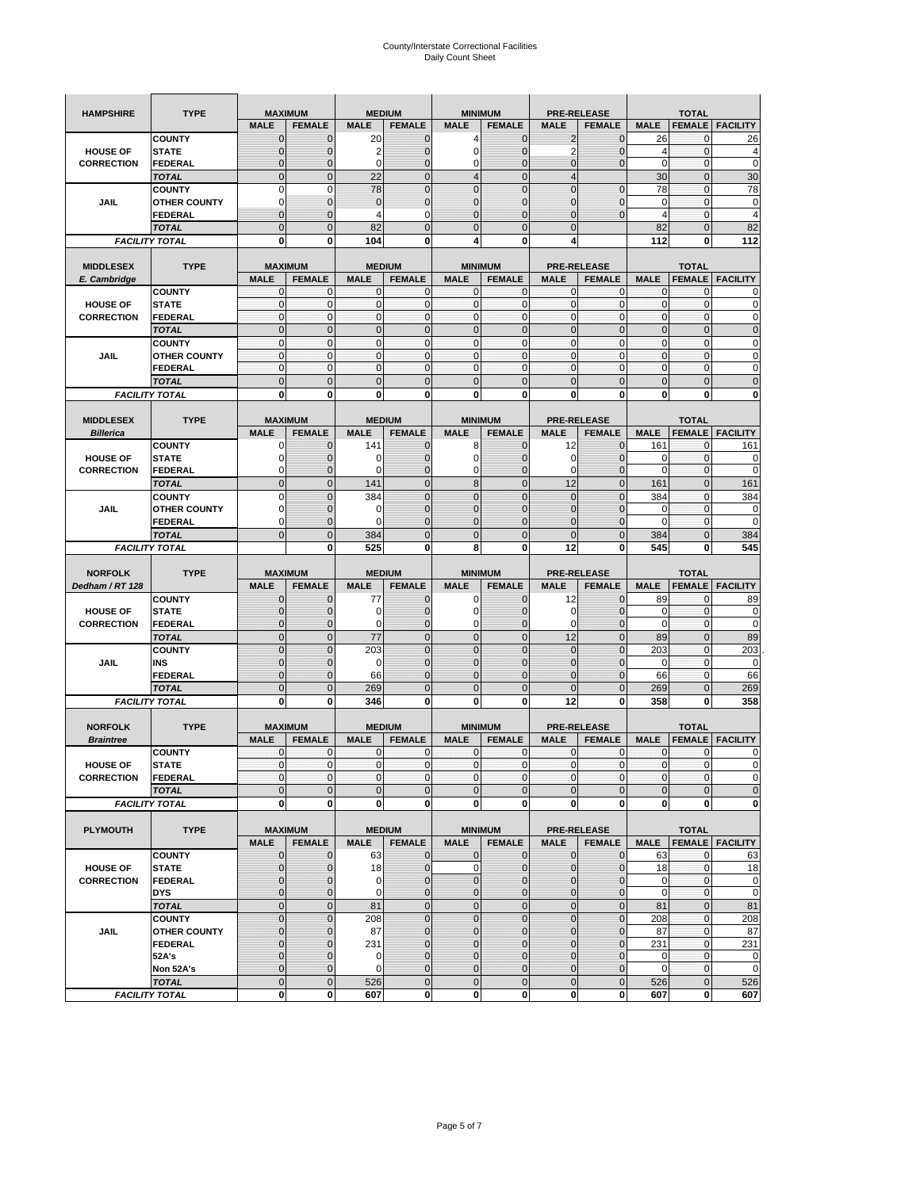| <b>HAMPSHIRE</b>  | <b>TYPE</b>                           | <b>MAXIMUM</b>             |                          | <b>MEDIUM</b>               |                  | <b>MINIMUM</b>             |                              | <b>PRE-RELEASE</b> |                          | <b>TOTAL</b>                |                          |                                                                                                                                                      |  |
|-------------------|---------------------------------------|----------------------------|--------------------------|-----------------------------|------------------|----------------------------|------------------------------|--------------------|--------------------------|-----------------------------|--------------------------|------------------------------------------------------------------------------------------------------------------------------------------------------|--|
|                   |                                       | <b>MALE</b>                | <b>FEMALE</b>            | <b>MALE</b>                 | <b>FEMALE</b>    | <b>MALE</b>                | <b>FEMALE</b>                | <b>MALE</b>        | <b>FEMALE</b>            | <b>MALE</b>                 | <b>FEMALE</b>            | <b>FACILITY</b>                                                                                                                                      |  |
|                   | <b>COUNTY</b>                         | $\mathbf 0$                | $\mathbf 0$              | 20                          | $\mathbf 0$      | 4                          | $\mathbf 0$                  | 2                  | $\mathbf 0$              | 26                          | $\mathbf{0}$             | 26                                                                                                                                                   |  |
| <b>HOUSE OF</b>   | <b>STATE</b>                          | $\mathbf{0}$               | $\overline{0}$           | 2                           | $\mathbf 0$      | $\mathbf 0$                | $\mathbf 0$                  | $\overline{2}$     | $\overline{0}$           | $\overline{4}$              | $\mathbf 0$              | 4                                                                                                                                                    |  |
| <b>CORRECTION</b> | <b>FEDERAL</b>                        | $\mathbf{0}$               | 0                        | $\mathbf 0$                 | $\mathbf 0$      | 0                          | $\mathbf 0$                  | 0                  | $\overline{0}$           | $\mathbf 0$                 | $\bf{0}$                 | $\mathbf 0$                                                                                                                                          |  |
|                   | <b>TOTAL</b>                          | $\mathbf{0}$               | $\overline{0}$           | 22                          | $\mathbf 0$      | $\overline{4}$             | $\mathbf 0$                  | $\overline{4}$     |                          | 30                          | $\mathbf{0}$             | 30                                                                                                                                                   |  |
|                   | <b>COUNTY</b>                         | $\mathbf 0$                | $\mathbf 0$              | 78                          | $\overline{0}$   | $\overline{0}$             | $\overline{0}$               | $\overline{0}$     | $\overline{0}$           | 78                          | $\mathbf{0}$             | 78                                                                                                                                                   |  |
| JAIL              | <b>OTHER COUNTY</b>                   | $\Omega$                   | $\mathbf{0}$             | $\mathbf 0$                 | $\mathbf 0$      | $\mathbf 0$                | $\mathbf 0$                  | 0                  | $\mathbf 0$              | 0                           | $\mathbf 0$              | 0                                                                                                                                                    |  |
|                   | FEDERAL                               | $\mathbf{0}$               | $\overline{0}$           | 4                           | 0                | $\overline{0}$             | $\mathbf{0}$                 | $\overline{0}$     | $\mathbf 0$              | $\overline{4}$              | $\mathbf{0}$             | $\overline{4}$                                                                                                                                       |  |
|                   | <b>TOTAL</b>                          | $\mathbf{0}$               | $\mathbf 0$              | 82                          | $\mathbf 0$      | $\mathbf 0$                | $\mathbf 0$                  | $\mathbf{0}$       |                          | 82                          | $\mathbf 0$              | 82                                                                                                                                                   |  |
|                   | <b>FACILITY TOTAL</b>                 | 0                          | 0                        | 104                         | 0                | 4                          | 0                            | 4                  |                          | 112                         | 0                        | 112                                                                                                                                                  |  |
|                   |                                       |                            |                          |                             |                  |                            |                              |                    |                          |                             |                          |                                                                                                                                                      |  |
| <b>MIDDLESEX</b>  | <b>TYPE</b>                           |                            | <b>MAXIMUM</b>           |                             | <b>MEDIUM</b>    |                            | <b>MINIMUM</b>               |                    | <b>PRE-RELEASE</b>       |                             | <b>TOTAL</b>             |                                                                                                                                                      |  |
| E. Cambridge      |                                       | <b>MALE</b>                | <b>FEMALE</b>            | <b>MALE</b>                 | <b>FEMALE</b>    | <b>MALE</b>                | <b>FEMALE</b>                | <b>MALE</b>        | <b>FEMALE</b>            | <b>MALE</b>                 | <b>FEMALE</b>            | <b>FACILITY</b>                                                                                                                                      |  |
| <b>HOUSE OF</b>   | <b>COUNTY</b><br><b>STATE</b>         | 0<br>$\pmb{0}$             | 0<br>0                   | $\mathbf 0$<br>$\mathbf{0}$ | 0<br>$\mathbf 0$ | 0<br>$\mathbf 0$           | $\mathbf{0}$<br>$\mathbf 0$  | 0<br>$\mathbf 0$   | 0<br>$\mathbf 0$         | 0<br>$\pmb{0}$              | 0<br>$\mathbf 0$         | 0<br>0                                                                                                                                               |  |
| <b>CORRECTION</b> | <b>FEDERAL</b>                        | $\mathbf{0}$               | $\mathbf 0$              | $\mathbf 0$                 | $\mathbf 0$      | $\mathbf 0$                | $\mathbf{0}$                 | $\mathbf 0$        | $\mathbf 0$              | $\mathbf{0}$                | $\mathbf 0$              | $\mathbf 0$                                                                                                                                          |  |
|                   | <b>TOTAL</b>                          | $\Omega$                   | $\mathbf 0$              | $\mathbf{0}$                | $\mathbf{0}$     | $\mathbf 0$                | $\mathbf 0$                  | $\mathbf{0}$       | $\overline{0}$           | $\pmb{0}$                   | $\mathbf{0}$             | $\mathbf 0$                                                                                                                                          |  |
|                   | <b>COUNTY</b>                         | $\mathbf{0}$               | $\mathbf{0}$             | $\mathbf{0}$                | $\mathbf{0}$     | $\mathbf{0}$               | $\mathbf{0}$                 | $\mathbf{0}$       | $\mathbf 0$              | $\mathbf{0}$                | $\mathbf{0}$             | 0                                                                                                                                                    |  |
| JAIL              | <b>OTHER COUNTY</b>                   | 0                          | $\mathbf 0$              | $\mathbf 0$                 | 0                | $\mathbf{0}$               | $\overline{0}$               | $\mathbf{0}$       | 0                        | $\pmb{0}$                   | 0                        | 0                                                                                                                                                    |  |
|                   | <b>FEDERAL</b>                        | $\mathbf{0}$               | $\mathbf{0}$             | $\mathbf 0$                 | $\mathbf 0$      | $\mathbf 0$                | $\overline{0}$               | $\mathbf{0}$       | $\mathbf 0$              | $\mathbf{0}$                | $\mathbf{0}$             | 0                                                                                                                                                    |  |
|                   | <b>TOTAL</b>                          | $\mathbf 0$                | $\overline{0}$           | $\overline{0}$              | $\overline{0}$   | $\overline{0}$             | $\overline{0}$               | $\overline{0}$     | $\overline{0}$           | $\mathbf{0}$                | $\overline{0}$           | $\overline{0}$                                                                                                                                       |  |
|                   | <b>FACILITY TOTAL</b>                 | 0                          | 0                        | 0                           | 0                | 0                          | 0                            | 0                  | 0                        | 0                           | 0                        | 0                                                                                                                                                    |  |
|                   |                                       |                            |                          |                             |                  |                            |                              |                    |                          |                             |                          |                                                                                                                                                      |  |
| <b>MIDDLESEX</b>  | <b>TYPE</b>                           |                            | <b>MAXIMUM</b>           |                             | <b>MEDIUM</b>    |                            | <b>MINIMUM</b>               |                    | <b>PRE-RELEASE</b>       |                             | <b>TOTAL</b>             |                                                                                                                                                      |  |
| <b>Billerica</b>  |                                       | <b>MALE</b>                | <b>FEMALE</b>            | <b>MALE</b>                 | <b>FEMALE</b>    | <b>MALE</b>                | <b>FEMALE</b>                | <b>MALE</b>        | <b>FEMALE</b>            | <b>MALE</b>                 | <b>FEMALE</b>            | <b>FACILITY</b>                                                                                                                                      |  |
|                   | <b>COUNTY</b>                         | 0                          | $\mathbf 0$              | 141                         | 0                | 8                          | $\mathbf{0}$                 | 12                 | 0                        | 161                         | 0                        | 161                                                                                                                                                  |  |
| <b>HOUSE OF</b>   | <b>STATE</b>                          | 0                          | $\mathbf 0$              | 0                           | $\mathbf{0}$     | $\mathbf 0$                | 0                            | 0                  | $\mathbf 0$              | 0                           | $\mathbf 0$              | 0                                                                                                                                                    |  |
| <b>CORRECTION</b> | <b>FEDERAL</b>                        | 0                          | $\mathbf{0}$             | 0                           | 0                | 0                          | $\mathbf{0}$                 | 0                  | $\mathbf 0$              | 0                           | 0                        | 0                                                                                                                                                    |  |
|                   | <b>TOTAL</b>                          | $\mathbf 0$                | $\mathbf 0$              | 141                         | $\mathbf 0$      | 8                          | $\overline{0}$               | 12                 | $\overline{0}$           | 161                         | $\mathbf{0}$             | 161                                                                                                                                                  |  |
|                   | <b>COUNTY</b>                         | $\Omega$                   | $\overline{0}$           | 384                         | $\overline{0}$   | $\overline{0}$             | $\Omega$                     | $\mathbf 0$        | $\Omega$                 | 384                         | $\mathbf 0$              | 384                                                                                                                                                  |  |
| JAIL              | <b>OTHER COUNTY</b>                   | 0                          | $\mathbf 0$              | 0                           | $\mathbf{0}$     | $\mathbf 0$                | $\mathbf{0}$                 | 0                  | $\overline{0}$           | 0                           | 0                        | 0                                                                                                                                                    |  |
|                   | <b>FEDERAL</b>                        | $\Omega$                   | $\mathbf 0$              | $\Omega$                    | $\mathbf 0$      | $\overline{0}$             | $\overline{0}$               | 0                  | $\mathbf 0$              | $\Omega$                    | $\mathbf 0$              | $\mathbf 0$                                                                                                                                          |  |
|                   | <b>TOTAL</b>                          | $\mathbf 0$                | $\overline{0}$           | 384                         | $\overline{0}$   | $\overline{0}$             | $\overline{0}$               | $\overline{0}$     | $\overline{0}$           | 384                         | $\overline{0}$           | 384                                                                                                                                                  |  |
|                   | <b>FACILITY TOTAL</b>                 |                            | 0                        | 525                         | 0                | 8                          | 0                            | 12                 | 0                        | 545                         | 0                        | 545                                                                                                                                                  |  |
|                   |                                       |                            |                          |                             |                  |                            |                              |                    |                          |                             |                          |                                                                                                                                                      |  |
|                   |                                       |                            |                          |                             |                  |                            |                              |                    |                          |                             |                          |                                                                                                                                                      |  |
| <b>NORFOLK</b>    | <b>TYPE</b>                           |                            | <b>MAXIMUM</b>           |                             | <b>MEDIUM</b>    |                            | <b>MINIMUM</b>               |                    | <b>PRE-RELEASE</b>       |                             | <b>TOTAL</b>             |                                                                                                                                                      |  |
| Dedham / RT 128   |                                       | <b>MALE</b>                | <b>FEMALE</b>            | <b>MALE</b>                 | <b>FEMALE</b>    | <b>MALE</b>                | <b>FEMALE</b>                | <b>MALE</b>        | <b>FEMALE</b>            | <b>MALE</b>                 | <b>FEMALE</b>            | <b>FACILITY</b>                                                                                                                                      |  |
|                   | <b>COUNTY</b>                         | 0                          | $\mathbf 0$              | 77                          | 0                | 0                          | $\mathbf{0}$                 | 12                 | 0                        | 89                          | 0                        | 89                                                                                                                                                   |  |
| <b>HOUSE OF</b>   | <b>STATE</b>                          | $\mathbf{0}$               | $\mathbf 0$              | 0                           | $\mathbf{0}$     | 0                          | $\mathbf{0}$                 | 0                  | $\mathbf 0$              | 0                           | $\mathbf 0$              | 0                                                                                                                                                    |  |
| <b>CORRECTION</b> | FEDERAL                               | $\mathbf{0}$               | 0                        | 0                           | 0                | 0                          | $\overline{0}$               | 0                  | 0                        | $\mathbf 0$                 | $\mathbf{0}$             | 0                                                                                                                                                    |  |
|                   | <b>TOTAL</b>                          | $\pmb{0}$                  | $\mathbf 0$              | 77                          | $\mathbf 0$      | $\mathbf 0$                | $\overline{0}$               | 12                 | $\mathbf 0$              | 89                          | $\mathbf 0$              | 89                                                                                                                                                   |  |
|                   | <b>COUNTY</b>                         | $\Omega$                   | $\overline{0}$           | 203                         | $\overline{0}$   | $\overline{0}$             | $\Omega$                     | $\mathbf 0$        | $\overline{0}$           | 203                         | $\bf{0}$                 | 203                                                                                                                                                  |  |
| JAIL              | INS                                   | $\mathbf{0}$               | 0                        | 0                           | $\mathbf{0}$     | $\mathbf{0}$               | $\mathbf{0}$                 | 0                  | $\mathbf 0$              | 0                           | 0                        |                                                                                                                                                      |  |
|                   | <b>FEDERAL</b>                        | $\mathbf{0}$               | $\mathbf 0$              | 66                          | $\mathbf 0$      | $\overline{0}$             | $\Omega$                     | $\mathbf 0$        | $\mathbf 0$              | 66                          | $\mathbf 0$              | 66                                                                                                                                                   |  |
|                   | <b>TOTAL</b>                          | $\mathbf 0$                | $\overline{0}$           | 269                         | $\overline{0}$   | $\overline{0}$             | $\overline{0}$               | $\overline{0}$     | $\overline{0}$           | 269                         | $\mathbf{0}$             | 269                                                                                                                                                  |  |
|                   | <b>FACILITY TOTAL</b>                 | 0                          | 0                        | 346                         | 0                | 0                          | 0                            | 12                 | 0                        | 358                         | 0                        | 358                                                                                                                                                  |  |
|                   |                                       |                            |                          |                             |                  |                            |                              |                    |                          |                             |                          |                                                                                                                                                      |  |
| <b>NORFOLK</b>    | <b>TYPE</b>                           |                            | <b>MAXIMUM</b>           |                             | <b>MEDIUM</b>    |                            | <b>MINIMUM</b>               |                    | <b>PRE-RELEASE</b>       |                             | <b>TOTAL</b>             |                                                                                                                                                      |  |
| <b>Braintree</b>  |                                       | <b>MALE</b>                | <b>FEMALE</b>            | <b>MALE</b>                 | <b>FEMALE</b>    | <b>MALE</b>                | <b>FEMALE</b>                | <b>MALE</b>        | <b>FEMALE</b>            | <b>MALE</b>                 | <b>FEMALE</b>            | <b>FACILITY</b>                                                                                                                                      |  |
|                   | <b>COUNTY</b>                         | $\mathbf{0}$<br>$\Omega$   | $\mathbf{0}$<br>$\Omega$ | $\mathbf 0$<br>$\Omega$     | 0                | 0<br>$\Omega$              | $\mathbf{0}$<br>$\Omega$     | 0                  | $\mathbf{0}$<br>$\Omega$ | $\mathbf 0$<br>$\Omega$     | 0<br>$\Omega$            | 0                                                                                                                                                    |  |
| <b>HOUSE OF</b>   | <b>STATE</b>                          |                            |                          |                             | $\overline{0}$   |                            |                              | $\mathbf{0}$       |                          |                             |                          |                                                                                                                                                      |  |
| <b>CORRECTION</b> | FEDERAL                               | $\mathbf 0$                | 0<br>$\overline{0}$      | $\mathbf 0$<br>$\mathbf{0}$ | $\bf{0}$         | $\mathbf 0$<br>$\mathbf 0$ | $\overline{0}$               | $\mathbf 0$        | $\mathbf 0$              | $\overline{0}$              | $\mathbf 0$              |                                                                                                                                                      |  |
|                   | <b>TOTAL</b><br><b>FACILITY TOTAL</b> | $\mathbf 0$<br>$\mathbf 0$ | 0                        | 0                           | $\mathbf 0$<br>0 | $\mathbf 0$                | $\mathbf 0$<br><sub>0</sub>  | $\mathbf 0$<br>0   | $\mathbf 0$<br>0         | $\mathbf 0$<br>$\mathbf{0}$ | $\pmb{0}$<br>$\mathbf 0$ |                                                                                                                                                      |  |
|                   |                                       |                            |                          |                             |                  |                            |                              |                    |                          |                             |                          |                                                                                                                                                      |  |
| <b>PLYMOUTH</b>   | <b>TYPE</b>                           |                            | <b>MAXIMUM</b>           |                             | <b>MEDIUM</b>    |                            | <b>MINIMUM</b>               |                    | <b>PRE-RELEASE</b>       |                             | <b>TOTAL</b>             |                                                                                                                                                      |  |
|                   |                                       | <b>MALE</b>                | <b>FEMALE</b>            | <b>MALE</b>                 | <b>FEMALE</b>    | <b>MALE</b>                | <b>FEMALE</b>                | <b>MALE</b>        | <b>FEMALE</b>            | <b>MALE</b>                 |                          | <b>FEMALE</b>   FACILITY                                                                                                                             |  |
|                   | <b>COUNTY</b>                         | $\mathbf{0}$               | 0                        | 63                          | $\mathbf{0}$     | 0                          | $\mathbf{O}$                 | $\mathbf 0$        | 0                        | 63                          | $\mathbf 0$              |                                                                                                                                                      |  |
| <b>HOUSE OF</b>   | <b>STATE</b>                          | $\mathbf{0}$               | $\mathbf 0$              | 18                          | $\mathbf 0$      | $\mathbf 0$                | $\mathbf{0}$                 | $\mathbf{0}$       | $\overline{0}$           | 18                          | $\mathbf 0$              |                                                                                                                                                      |  |
| <b>CORRECTION</b> | <b>FEDERAL</b>                        | $\mathbf 0$                | $\mathbf{0}$             | 0                           | $\pmb{0}$        | $\mathbf 0$                | $\mathbf{0}$                 | 0                  | $\mathbf 0$              | $\mathbf 0$                 | $\mathbf 0$              |                                                                                                                                                      |  |
|                   | <b>DYS</b>                            | $\mathbf{0}$               | $\mathbf{0}$             | 0                           | $\mathbf{0}$     | $\mathbf 0$                | $\mathbf{0}$                 | $\mathbf 0$        | $\overline{0}$           | $\mathbf 0$                 | $\Omega$                 |                                                                                                                                                      |  |
|                   | <b>TOTAL</b>                          | $\mathbf 0$                | $\mathbf 0$              | 81                          | $\mathbf 0$      | $\overline{0}$             | $\mathbf 0$                  | $\mathbf 0$        | $\pmb{0}$                | 81                          | $\mathbf{0}$             | 81                                                                                                                                                   |  |
|                   | <b>COUNTY</b>                         | $\mathbf{0}$               | $\mathbf 0$              | 208                         | $\mathbf 0$      | $\mathbf 0$                | $\overline{0}$               | $\mathbf 0$        | $\mathbf 0$              | 208                         | $\mathbf 0$              |                                                                                                                                                      |  |
| JAIL              | <b>OTHER COUNTY</b>                   | $\mathbf{0}$               | 0                        | 87                          | 0                | $\mathbf 0$                | $\mathbf{0}$                 | 0                  | $\mathbf 0$              | 87                          | $\mathbf 0$              | 87                                                                                                                                                   |  |
|                   | <b>FEDERAL</b>                        | $\mathbf{0}$               | $\mathbf{0}$             | 231                         | 0                | $\mathbf 0$                | $\overline{0}$               | $\mathbf 0$        | $\overline{0}$           | 231                         | $\mathbf 0$              |                                                                                                                                                      |  |
|                   | 52A's                                 | $\mathbf{0}$               | $\mathbf{0}$             | 0                           | $\mathbf{0}$     | $\mathbf{0}$               | $\Omega$                     | 0                  | $\mathbf 0$              | $\mathbf 0$                 | $\mathbf{O}$             |                                                                                                                                                      |  |
|                   | Non 52A's                             | $\mathbf{0}$               | $\mathbf{0}$             | $\mathbf 0$                 | $\mathbf{0}$     | $\mathbf 0$                | $\overline{0}$               | $\mathbf 0$        | $\mathbf{0}$             | $\mathbf 0$                 | $\mathbf 0$              |                                                                                                                                                      |  |
|                   | <b>TOTAL</b><br><b>FACILITY TOTAL</b> | $\mathbf 0$<br>0           | $\mathbf 0$<br>0         | 526<br>607                  | $\mathbf 0$<br>0 | $\mathbf 0$<br>$\mathbf 0$ | $\mathbf{0}$<br>$\mathbf{0}$ | $\mathbf 0$<br>0   | $\pmb{0}$<br>$\pmb{0}$   | 526<br>607                  | $\mathbf 0$<br>$\bf{0}$  | 0<br>$\Omega$<br>$\mathbf 0$<br>$\mathbf 0$<br>0<br>63<br>18<br>$\mathbf 0$<br>$\mathbf 0$<br>208<br>231<br>$\mathbf 0$<br>$\mathbf 0$<br>526<br>607 |  |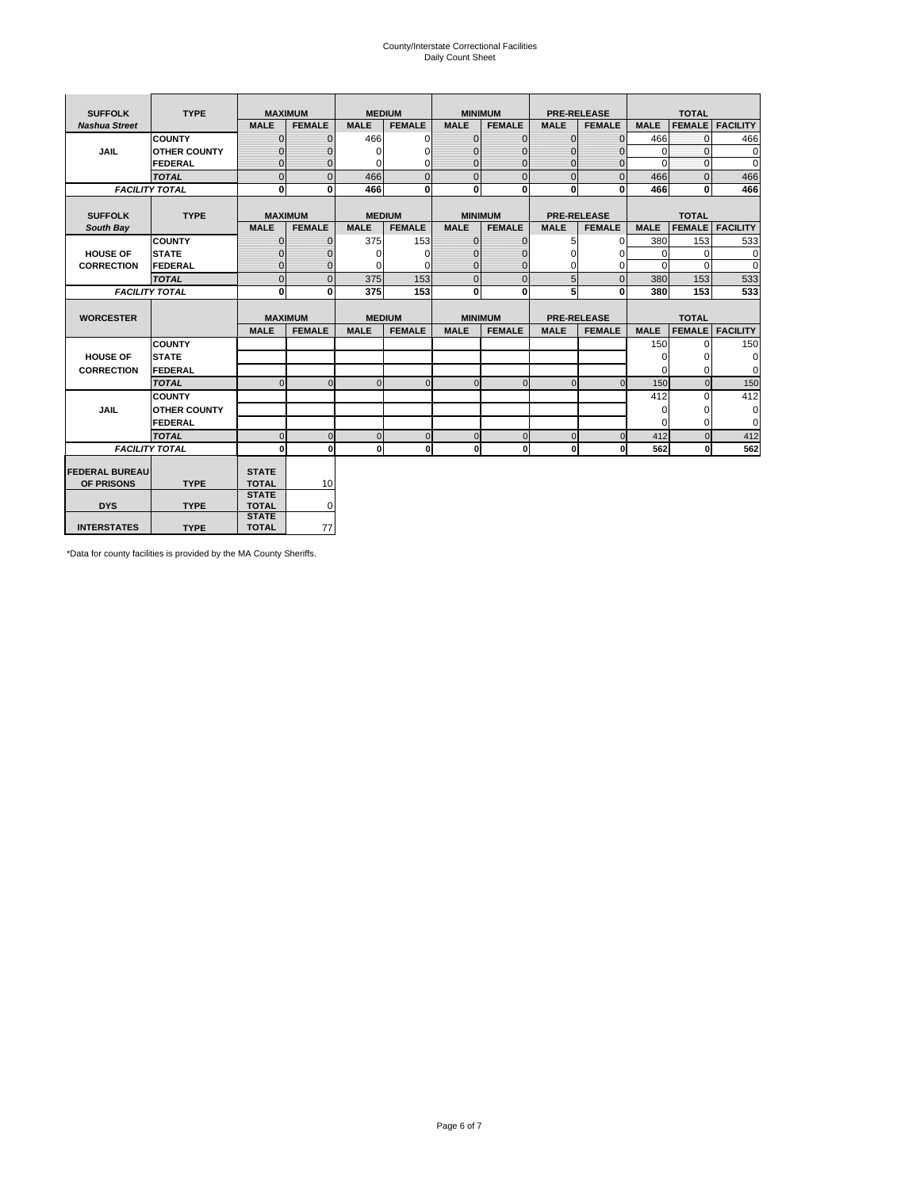# County/Interstate Correctional Facilities Daily Count Sheet

| <b>SUFFOLK</b><br><b>TYPE</b> |                       |                              | <b>MAXIMUM</b> |               | <b>MEDIUM</b> |                | <b>MINIMUM</b> |              | <b>PRE-RELEASE</b> |             | <b>TOTAL</b>  |                 |
|-------------------------------|-----------------------|------------------------------|----------------|---------------|---------------|----------------|----------------|--------------|--------------------|-------------|---------------|-----------------|
| <b>Nashua Street</b>          |                       | <b>MALE</b>                  | <b>FEMALE</b>  | <b>MALE</b>   | <b>FEMALE</b> | <b>MALE</b>    | <b>FEMALE</b>  | <b>MALE</b>  | <b>FEMALE</b>      | <b>MALE</b> | <b>FEMALE</b> | <b>FACILITY</b> |
|                               | <b>COUNTY</b>         | $\Omega$                     | $\mathbf{0}$   | 466           | $\Omega$      | $\mathbf{0}$   | $\Omega$       | $\mathbf{0}$ | $\Omega$           | 466         | $\Omega$      | 466             |
| JAIL                          | <b>OTHER COUNTY</b>   | $\Omega$                     | $\Omega$       | $\Omega$      | 0             | $\Omega$       | $\Omega$       | $\Omega$     | 0                  | $\Omega$    | $\Omega$      | 0               |
|                               | <b>FEDERAL</b>        | $\mathbf{0}$                 | $\mathbf{0}$   | 0             | 0             | $\mathbf{0}$   | $\mathbf{0}$   | $\mathbf 0$  | $\mathbf{0}$       | $\Omega$    | 0             | 0               |
|                               | <b>TOTAL</b>          | $\Omega$                     | $\Omega$       | 466           | $\Omega$      | $\overline{0}$ | $\Omega$       | $\Omega$     | $\Omega$           | 466         | $\Omega$      | 466             |
|                               | <b>FACILITY TOTAL</b> | 0                            | $\mathbf{0}$   | 466           | 0             | $\mathbf{0}$   | $\bf{0}$       | $\mathbf{0}$ | 0                  | 466         | 0             | 466             |
|                               |                       |                              |                |               |               |                |                |              |                    |             |               |                 |
| <b>SUFFOLK</b>                | <b>TYPE</b>           |                              | <b>MAXIMUM</b> | <b>MEDIUM</b> |               |                | <b>MINIMUM</b> |              | <b>PRE-RELEASE</b> |             | <b>TOTAL</b>  |                 |
| South Bay                     |                       | <b>MALE</b>                  | <b>FEMALE</b>  | <b>MALE</b>   | <b>FEMALE</b> | <b>MALE</b>    | <b>FEMALE</b>  | <b>MALE</b>  | <b>FEMALE</b>      | <b>MALE</b> | <b>FEMALE</b> | <b>FACILITY</b> |
|                               | <b>COUNTY</b>         | $\Omega$                     | $\mathbf{0}$   | 375           | 153           | $\mathbf{0}$   | $\mathbf{0}$   | 5            | $\mathbf{0}$       | 380         | 153           | 533             |
| <b>HOUSE OF</b>               | <b>STATE</b>          |                              | $\overline{0}$ | $\Omega$      | $\Omega$      | $\Omega$       | O              | $\Omega$     | $\Omega$           | $\Omega$    | $\Omega$      | 0               |
| <b>CORRECTION</b>             | <b>FEDERAL</b>        | $\Omega$                     | $\overline{0}$ | 0             | $\Omega$      | $\mathbf{0}$   | $\Omega$       | $\Omega$     | 0                  | $\Omega$    | $\Omega$      | $\Omega$        |
|                               | <b>TOTAL</b>          | $\Omega$                     | $\overline{0}$ | 375           | 153           | $\mathbf 0$    | $\mathbf{0}$   | 5            | $\overline{0}$     | 380         | 153           | 533             |
|                               | <b>FACILITY TOTAL</b> | 0                            | 0              | 375           | 153           | $\mathbf{0}$   | 0              | 5            | 0                  | 380         | 153           | 533             |
|                               |                       |                              |                |               |               |                |                |              |                    |             |               |                 |
| <b>WORCESTER</b>              |                       |                              | <b>MAXIMUM</b> | <b>MEDIUM</b> |               |                | <b>MINIMUM</b> |              | <b>PRE-RELEASE</b> |             | <b>TOTAL</b>  |                 |
|                               |                       | <b>MALE</b>                  | <b>FEMALE</b>  | <b>MALE</b>   | <b>FEMALE</b> | <b>MALE</b>    | <b>FEMALE</b>  | <b>MALE</b>  | <b>FEMALE</b>      | <b>MALE</b> | <b>FEMALE</b> | <b>FACILITY</b> |
|                               | <b>COUNTY</b>         |                              |                |               |               |                |                |              |                    | 150         | $\Omega$      | 150             |
| <b>HOUSE OF</b>               | <b>STATE</b>          |                              |                |               |               |                |                |              |                    | 0           | 0             | 0               |
| <b>CORRECTION</b>             | FEDERAL               |                              |                |               |               |                |                |              |                    | $\Omega$    | $\Omega$      | 0               |
|                               | <b>TOTAL</b>          | $\Omega$                     | $\mathbf{0}$   | $\Omega$      | $\mathbf 0$   | $\mathbf{0}$   | $\mathbf{0}$   | $\mathbf{0}$ | $\Omega$           | 150         | $\mathbf{0}$  | 150             |
|                               | <b>COUNTY</b>         |                              |                |               |               |                |                |              |                    | 412         | $\Omega$      | 412             |
| <b>JAIL</b>                   | <b>OTHER COUNTY</b>   |                              |                |               |               |                |                |              |                    | $\Omega$    | $\Omega$      | 0               |
|                               | FEDERAL               |                              |                |               |               |                |                |              |                    | $\Omega$    | $\Omega$      | $\mathbf 0$     |
|                               | <b>TOTAL</b>          | $\cap$                       | $\Omega$       | $\Omega$      | $\mathbf{0}$  | $\mathbf{0}$   | $\Omega$       | $\Omega$     | $\Omega$           | 412         | $\Omega$      | 412             |
|                               | <b>FACILITY TOTAL</b> | $\Omega$                     | $\mathbf{0}$   | $\Omega$      | 0             | $\mathbf{0}$   | $\bf{0}$       | $\mathbf 0$  | 0                  | 562         | O             | 562             |
|                               |                       |                              |                |               |               |                |                |              |                    |             |               |                 |
| <b>FEDERAL BUREAU</b>         |                       | <b>STATE</b>                 |                |               |               |                |                |              |                    |             |               |                 |
| OF PRISONS                    | <b>TYPE</b>           | <b>TOTAL</b><br><b>STATE</b> | 10             |               |               |                |                |              |                    |             |               |                 |
| <b>DYS</b>                    | <b>TYPE</b>           | <b>TOTAL</b>                 | 0              |               |               |                |                |              |                    |             |               |                 |
|                               |                       | <b>STATE</b>                 |                |               |               |                |                |              |                    |             |               |                 |
| <b>INTERSTATES</b>            | <b>TYPE</b>           | <b>TOTAL</b>                 | 77             |               |               |                |                |              |                    |             |               |                 |

\*Data for county facilities is provided by the MA County Sheriffs.